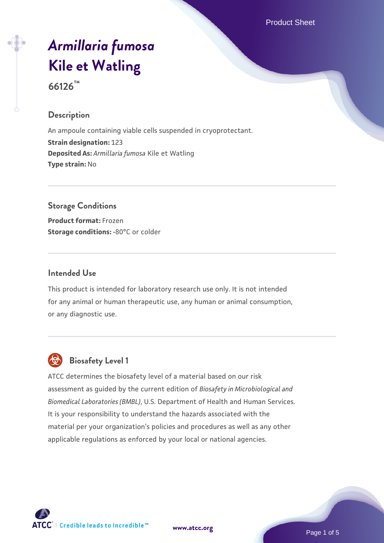Product Sheet

# *[Armillaria fumosa](https://www.atcc.org/products/66126)* **[Kile et Watling](https://www.atcc.org/products/66126)**

**66126™**

#### **Description**

An ampoule containing viable cells suspended in cryoprotectant. **Strain designation:** 123 **Deposited As:** *Armillaria fumosa* Kile et Watling **Type strain:** No

# **Storage Conditions**

**Product format:** Frozen **Storage conditions: -80°C or colder** 

#### **Intended Use**

This product is intended for laboratory research use only. It is not intended for any animal or human therapeutic use, any human or animal consumption, or any diagnostic use.



# **Biosafety Level 1**

ATCC determines the biosafety level of a material based on our risk assessment as guided by the current edition of *Biosafety in Microbiological and Biomedical Laboratories (BMBL)*, U.S. Department of Health and Human Services. It is your responsibility to understand the hazards associated with the material per your organization's policies and procedures as well as any other applicable regulations as enforced by your local or national agencies.



**[www.atcc.org](http://www.atcc.org)**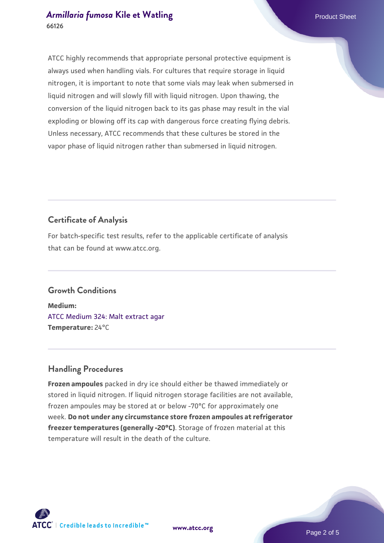ATCC highly recommends that appropriate personal protective equipment is always used when handling vials. For cultures that require storage in liquid nitrogen, it is important to note that some vials may leak when submersed in liquid nitrogen and will slowly fill with liquid nitrogen. Upon thawing, the conversion of the liquid nitrogen back to its gas phase may result in the vial exploding or blowing off its cap with dangerous force creating flying debris. Unless necessary, ATCC recommends that these cultures be stored in the vapor phase of liquid nitrogen rather than submersed in liquid nitrogen.

# **Certificate of Analysis**

For batch-specific test results, refer to the applicable certificate of analysis that can be found at www.atcc.org.

#### **Growth Conditions**

**Medium:**  [ATCC Medium 324: Malt extract agar](https://www.atcc.org/-/media/product-assets/documents/microbial-media-formulations/3/2/4/atcc-medium-324.pdf?rev=5a8b3f6dcb23452d9462ec38b36f0bb6) **Temperature:** 24°C

# **Handling Procedures**

**Frozen ampoules** packed in dry ice should either be thawed immediately or stored in liquid nitrogen. If liquid nitrogen storage facilities are not available, frozen ampoules may be stored at or below -70°C for approximately one week. **Do not under any circumstance store frozen ampoules at refrigerator freezer temperatures (generally -20°C)**. Storage of frozen material at this temperature will result in the death of the culture.

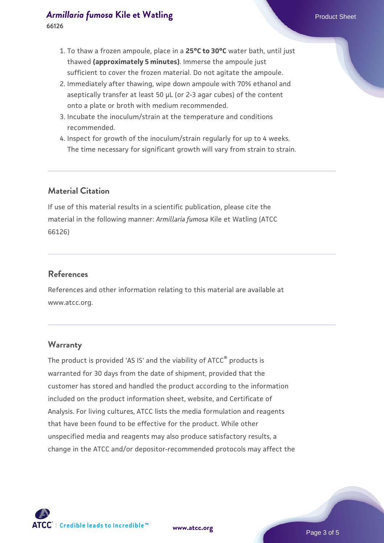- 1. To thaw a frozen ampoule, place in a **25°C to 30°C** water bath, until just thawed **(approximately 5 minutes)**. Immerse the ampoule just sufficient to cover the frozen material. Do not agitate the ampoule.
- 2. Immediately after thawing, wipe down ampoule with 70% ethanol and aseptically transfer at least 50 µL (or 2-3 agar cubes) of the content onto a plate or broth with medium recommended.
- 3. Incubate the inoculum/strain at the temperature and conditions recommended.
- 4. Inspect for growth of the inoculum/strain regularly for up to 4 weeks. The time necessary for significant growth will vary from strain to strain.

#### **Material Citation**

If use of this material results in a scientific publication, please cite the material in the following manner: *Armillaria fumosa* Kile et Watling (ATCC 66126)

#### **References**

References and other information relating to this material are available at www.atcc.org.

#### **Warranty**

The product is provided 'AS IS' and the viability of ATCC<sup>®</sup> products is warranted for 30 days from the date of shipment, provided that the customer has stored and handled the product according to the information included on the product information sheet, website, and Certificate of Analysis. For living cultures, ATCC lists the media formulation and reagents that have been found to be effective for the product. While other unspecified media and reagents may also produce satisfactory results, a change in the ATCC and/or depositor-recommended protocols may affect the

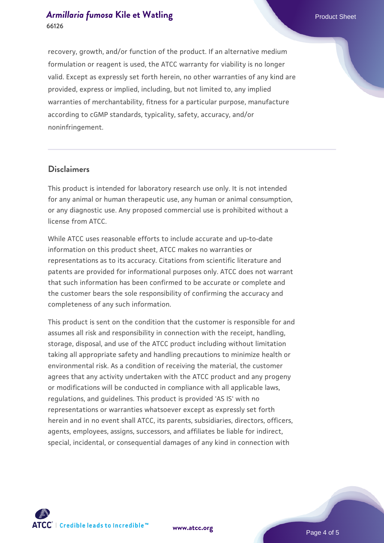recovery, growth, and/or function of the product. If an alternative medium formulation or reagent is used, the ATCC warranty for viability is no longer valid. Except as expressly set forth herein, no other warranties of any kind are provided, express or implied, including, but not limited to, any implied warranties of merchantability, fitness for a particular purpose, manufacture according to cGMP standards, typicality, safety, accuracy, and/or noninfringement.

#### **Disclaimers**

This product is intended for laboratory research use only. It is not intended for any animal or human therapeutic use, any human or animal consumption, or any diagnostic use. Any proposed commercial use is prohibited without a license from ATCC.

While ATCC uses reasonable efforts to include accurate and up-to-date information on this product sheet, ATCC makes no warranties or representations as to its accuracy. Citations from scientific literature and patents are provided for informational purposes only. ATCC does not warrant that such information has been confirmed to be accurate or complete and the customer bears the sole responsibility of confirming the accuracy and completeness of any such information.

This product is sent on the condition that the customer is responsible for and assumes all risk and responsibility in connection with the receipt, handling, storage, disposal, and use of the ATCC product including without limitation taking all appropriate safety and handling precautions to minimize health or environmental risk. As a condition of receiving the material, the customer agrees that any activity undertaken with the ATCC product and any progeny or modifications will be conducted in compliance with all applicable laws, regulations, and guidelines. This product is provided 'AS IS' with no representations or warranties whatsoever except as expressly set forth herein and in no event shall ATCC, its parents, subsidiaries, directors, officers, agents, employees, assigns, successors, and affiliates be liable for indirect, special, incidental, or consequential damages of any kind in connection with



**[www.atcc.org](http://www.atcc.org)**

Page 4 of 5